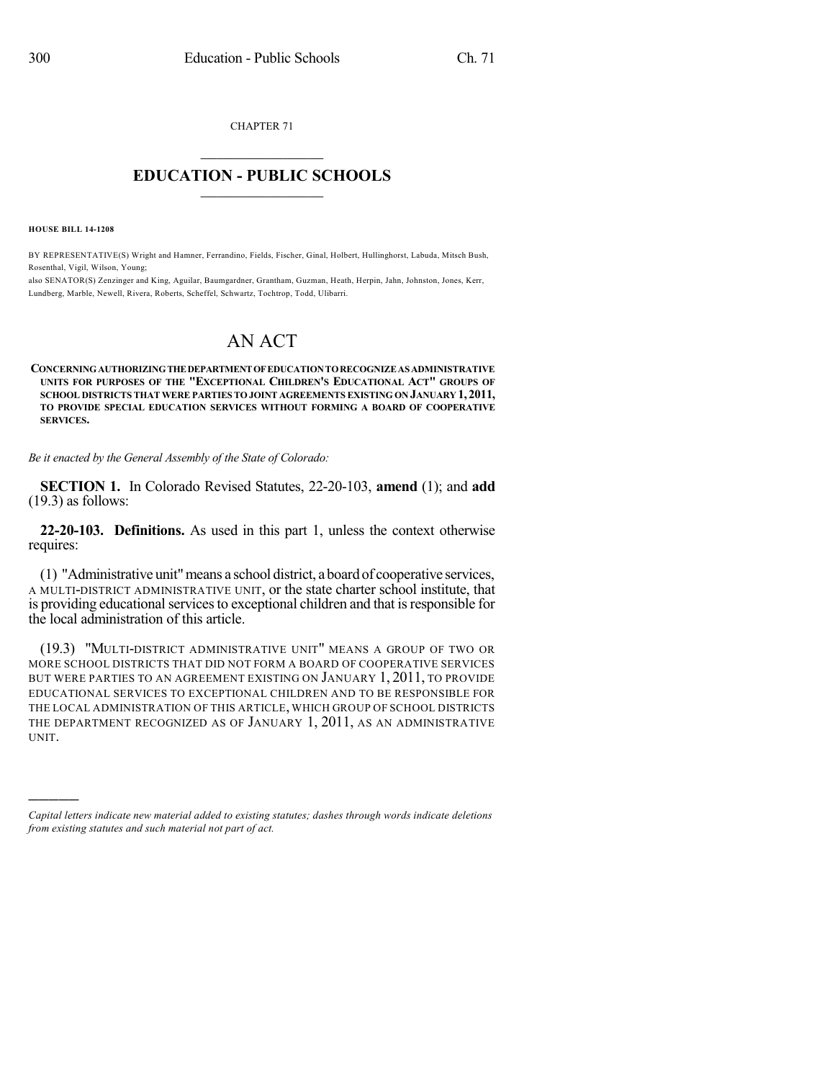CHAPTER 71  $\mathcal{L}_\text{max}$  . The set of the set of the set of the set of the set of the set of the set of the set of the set of the set of the set of the set of the set of the set of the set of the set of the set of the set of the set

## **EDUCATION - PUBLIC SCHOOLS**  $\_$   $\_$   $\_$   $\_$   $\_$   $\_$   $\_$   $\_$   $\_$

**HOUSE BILL 14-1208**

)))))

BY REPRESENTATIVE(S) Wright and Hamner, Ferrandino, Fields, Fischer, Ginal, Holbert, Hullinghorst, Labuda, Mitsch Bush, Rosenthal, Vigil, Wilson, Young;

also SENATOR(S) Zenzinger and King, Aguilar, Baumgardner, Grantham, Guzman, Heath, Herpin, Jahn, Johnston, Jones, Kerr, Lundberg, Marble, Newell, Rivera, Roberts, Scheffel, Schwartz, Tochtrop, Todd, Ulibarri.

## AN ACT

**CONCERNINGAUTHORIZINGTHEDEPARTMENTOFEDUCATIONTORECOGNIZEASADMINISTRATIVE UNITS FOR PURPOSES OF THE "EXCEPTIONAL CHILDREN'S EDUCATIONAL ACT" GROUPS OF SCHOOL DISTRICTS THAT WERE PARTIESTOJOINT AGREEMENTS EXISTING ON JANUARY 1, 2011, TO PROVIDE SPECIAL EDUCATION SERVICES WITHOUT FORMING A BOARD OF COOPERATIVE SERVICES.**

*Be it enacted by the General Assembly of the State of Colorado:*

**SECTION 1.** In Colorado Revised Statutes, 22-20-103, **amend** (1); and **add** (19.3) as follows:

**22-20-103. Definitions.** As used in this part 1, unless the context otherwise requires:

(1) "Administrative unit"means a school district, aboard of cooperative services, A MULTI-DISTRICT ADMINISTRATIVE UNIT, or the state charter school institute, that is providing educational services to exceptional children and that is responsible for the local administration of this article.

(19.3) "MULTI-DISTRICT ADMINISTRATIVE UNIT" MEANS A GROUP OF TWO OR MORE SCHOOL DISTRICTS THAT DID NOT FORM A BOARD OF COOPERATIVE SERVICES BUT WERE PARTIES TO AN AGREEMENT EXISTING ON JANUARY 1, 2011, TO PROVIDE EDUCATIONAL SERVICES TO EXCEPTIONAL CHILDREN AND TO BE RESPONSIBLE FOR THE LOCAL ADMINISTRATION OF THIS ARTICLE, WHICH GROUP OF SCHOOL DISTRICTS THE DEPARTMENT RECOGNIZED AS OF JANUARY 1, 2011, AS AN ADMINISTRATIVE UNIT.

*Capital letters indicate new material added to existing statutes; dashes through words indicate deletions from existing statutes and such material not part of act.*